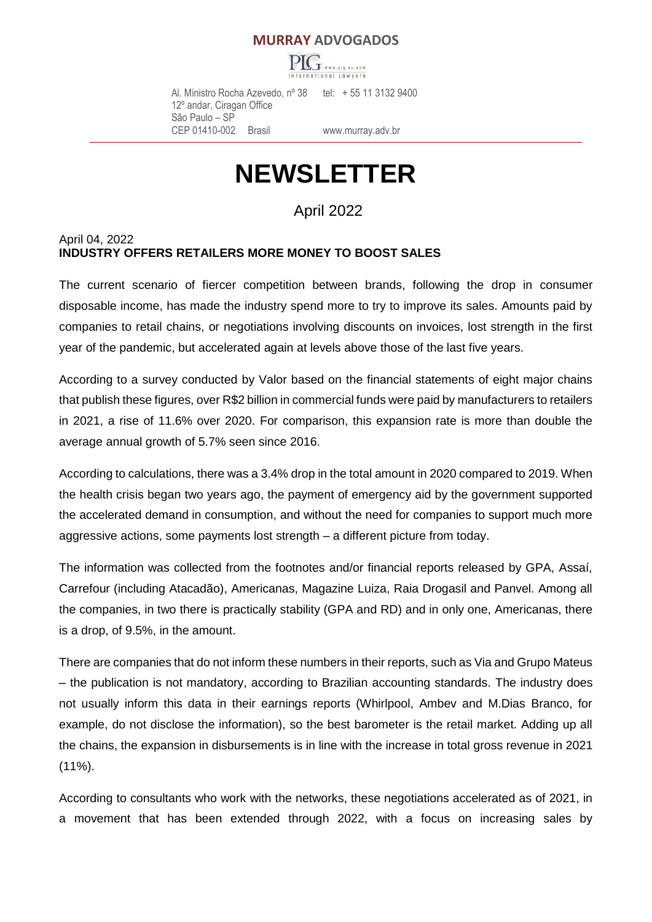#### **MURRAY ADVOGADOS**



 Al. Ministro Rocha Azevedo, nº 38 tel: + 55 11 3132 9400 12º andar, Ciragan Office São Paulo – SP CEP 01410-002 Brasil [www.murray.adv.br](http://www.murray.adv.br/)

# **NEWSLETTER**

April 2022

#### April 04, 2022 **INDUSTRY OFFERS RETAILERS MORE MONEY TO BOOST SALES**

The current scenario of fiercer competition between brands, following the drop in consumer disposable income, has made the industry spend more to try to improve its sales. Amounts paid by companies to retail chains, or negotiations involving discounts on invoices, lost strength in the first year of the pandemic, but accelerated again at levels above those of the last five years.

According to a survey conducted by Valor based on the financial statements of eight major chains that publish these figures, over R\$2 billion in commercial funds were paid by manufacturers to retailers in 2021, a rise of 11.6% over 2020. For comparison, this expansion rate is more than double the average annual growth of 5.7% seen since 2016.

According to calculations, there was a 3.4% drop in the total amount in 2020 compared to 2019. When the health crisis began two years ago, the payment of emergency aid by the government supported the accelerated demand in consumption, and without the need for companies to support much more aggressive actions, some payments lost strength – a different picture from today.

The information was collected from the footnotes and/or financial reports released by GPA, Assaí, Carrefour (including Atacadão), Americanas, Magazine Luiza, Raia Drogasil and Panvel. Among all the companies, in two there is practically stability (GPA and RD) and in only one, Americanas, there is a drop, of 9.5%, in the amount.

There are companies that do not inform these numbers in their reports, such as Via and Grupo Mateus – the publication is not mandatory, according to Brazilian accounting standards. The industry does not usually inform this data in their earnings reports (Whirlpool, Ambev and M.Dias Branco, for example, do not disclose the information), so the best barometer is the retail market. Adding up all the chains, the expansion in disbursements is in line with the increase in total gross revenue in 2021 (11%).

According to consultants who work with the networks, these negotiations accelerated as of 2021, in a movement that has been extended through 2022, with a focus on increasing sales by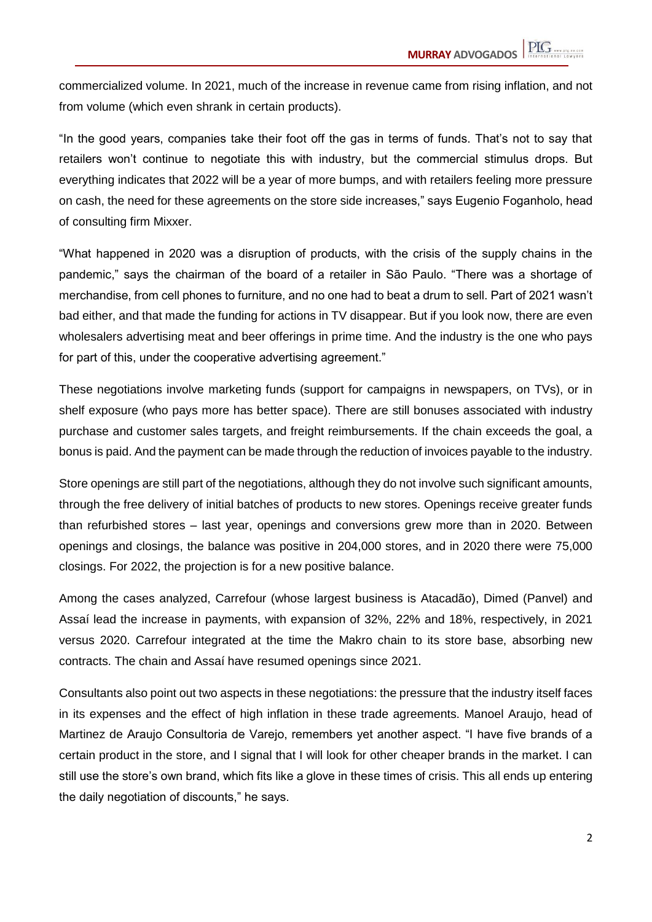commercialized volume. In 2021, much of the increase in revenue came from rising inflation, and not from volume (which even shrank in certain products).

"In the good years, companies take their foot off the gas in terms of funds. That's not to say that retailers won't continue to negotiate this with industry, but the commercial stimulus drops. But everything indicates that 2022 will be a year of more bumps, and with retailers feeling more pressure on cash, the need for these agreements on the store side increases," says Eugenio Foganholo, head of consulting firm Mixxer.

"What happened in 2020 was a disruption of products, with the crisis of the supply chains in the pandemic," says the chairman of the board of a retailer in São Paulo. "There was a shortage of merchandise, from cell phones to furniture, and no one had to beat a drum to sell. Part of 2021 wasn't bad either, and that made the funding for actions in TV disappear. But if you look now, there are even wholesalers advertising meat and beer offerings in prime time. And the industry is the one who pays for part of this, under the cooperative advertising agreement."

These negotiations involve marketing funds (support for campaigns in newspapers, on TVs), or in shelf exposure (who pays more has better space). There are still bonuses associated with industry purchase and customer sales targets, and freight reimbursements. If the chain exceeds the goal, a bonus is paid. And the payment can be made through the reduction of invoices payable to the industry.

Store openings are still part of the negotiations, although they do not involve such significant amounts, through the free delivery of initial batches of products to new stores. Openings receive greater funds than refurbished stores – last year, openings and conversions grew more than in 2020. Between openings and closings, the balance was positive in 204,000 stores, and in 2020 there were 75,000 closings. For 2022, the projection is for a new positive balance.

Among the cases analyzed, Carrefour (whose largest business is Atacadão), Dimed (Panvel) and Assaí lead the increase in payments, with expansion of 32%, 22% and 18%, respectively, in 2021 versus 2020. Carrefour integrated at the time the Makro chain to its store base, absorbing new contracts. The chain and Assaí have resumed openings since 2021.

Consultants also point out two aspects in these negotiations: the pressure that the industry itself faces in its expenses and the effect of high inflation in these trade agreements. Manoel Araujo, head of Martinez de Araujo Consultoria de Varejo, remembers yet another aspect. "I have five brands of a certain product in the store, and I signal that I will look for other cheaper brands in the market. I can still use the store's own brand, which fits like a glove in these times of crisis. This all ends up entering the daily negotiation of discounts," he says.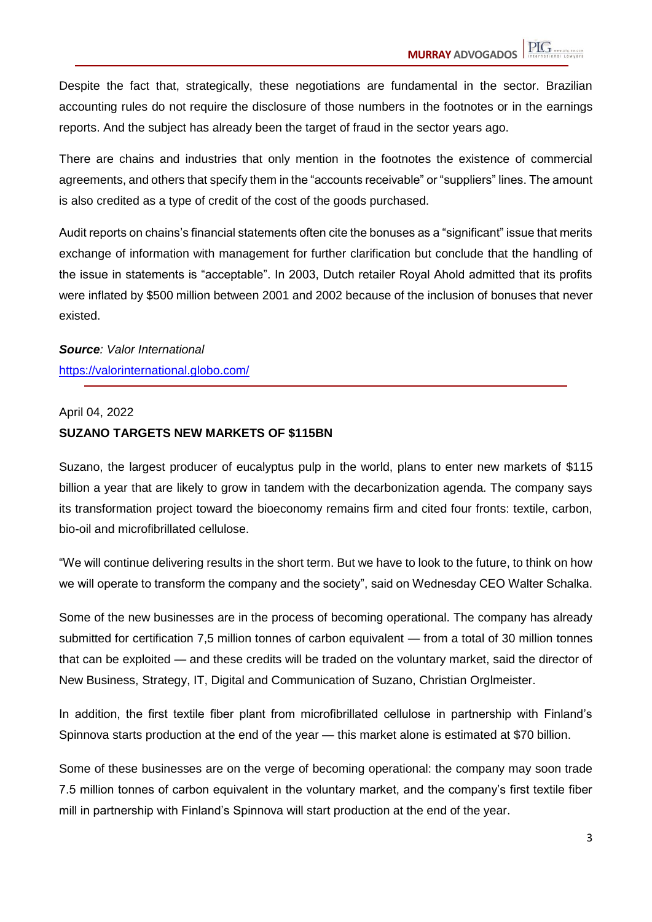Despite the fact that, strategically, these negotiations are fundamental in the sector. Brazilian accounting rules do not require the disclosure of those numbers in the footnotes or in the earnings reports. And the subject has already been the target of fraud in the sector years ago.

There are chains and industries that only mention in the footnotes the existence of commercial agreements, and others that specify them in the "accounts receivable" or "suppliers" lines. The amount is also credited as a type of credit of the cost of the goods purchased.

Audit reports on chains's financial statements often cite the bonuses as a "significant" issue that merits exchange of information with management for further clarification but conclude that the handling of the issue in statements is "acceptable". In 2003, Dutch retailer Royal Ahold admitted that its profits were inflated by \$500 million between 2001 and 2002 because of the inclusion of bonuses that never existed.

*Source: Valor International* https://valorinternational.globo.com/

#### April 04, 2022

#### **SUZANO TARGETS NEW MARKETS OF \$115BN**

Suzano, the largest producer of eucalyptus pulp in the world, plans to enter new markets of \$115 billion a year that are likely to grow in tandem with the decarbonization agenda. The company says its transformation project toward the bioeconomy remains firm and cited four fronts: textile, carbon, bio-oil and microfibrillated cellulose.

"We will continue delivering results in the short term. But we have to look to the future, to think on how we will operate to transform the company and the society", said on Wednesday CEO Walter Schalka.

Some of the new businesses are in the process of becoming operational. The company has already submitted for certification 7,5 million tonnes of carbon equivalent — from a total of 30 million tonnes that can be exploited — and these credits will be traded on the voluntary market, said the director of New Business, Strategy, IT, Digital and Communication of Suzano, Christian Orglmeister.

In addition, the first textile fiber plant from microfibrillated cellulose in partnership with Finland's Spinnova starts production at the end of the year — this market alone is estimated at \$70 billion.

Some of these businesses are on the verge of becoming operational: the company may soon trade 7.5 million tonnes of carbon equivalent in the voluntary market, and the company's first textile fiber mill in partnership with Finland's Spinnova will start production at the end of the year.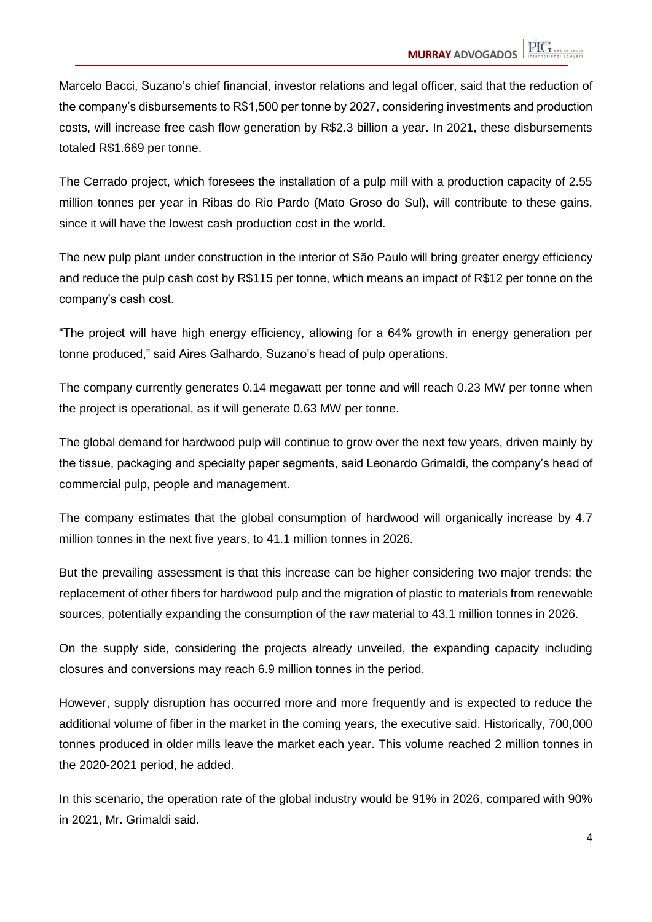Marcelo Bacci, Suzano's chief financial, investor relations and legal officer, said that the reduction of the company's disbursements to R\$1,500 per tonne by 2027, considering investments and production costs, will increase free cash flow generation by R\$2.3 billion a year. In 2021, these disbursements totaled R\$1.669 per tonne.

The Cerrado project, which foresees the installation of a pulp mill with a production capacity of 2.55 million tonnes per year in Ribas do Rio Pardo (Mato Groso do Sul), will contribute to these gains, since it will have the lowest cash production cost in the world.

The new pulp plant under construction in the interior of São Paulo will bring greater energy efficiency and reduce the pulp cash cost by R\$115 per tonne, which means an impact of R\$12 per tonne on the company's cash cost.

"The project will have high energy efficiency, allowing for a 64% growth in energy generation per tonne produced," said Aires Galhardo, Suzano's head of pulp operations.

The company currently generates 0.14 megawatt per tonne and will reach 0.23 MW per tonne when the project is operational, as it will generate 0.63 MW per tonne.

The global demand for hardwood pulp will continue to grow over the next few years, driven mainly by the tissue, packaging and specialty paper segments, said Leonardo Grimaldi, the company's head of commercial pulp, people and management.

The company estimates that the global consumption of hardwood will organically increase by 4.7 million tonnes in the next five years, to 41.1 million tonnes in 2026.

But the prevailing assessment is that this increase can be higher considering two major trends: the replacement of other fibers for hardwood pulp and the migration of plastic to materials from renewable sources, potentially expanding the consumption of the raw material to 43.1 million tonnes in 2026.

On the supply side, considering the projects already unveiled, the expanding capacity including closures and conversions may reach 6.9 million tonnes in the period.

However, supply disruption has occurred more and more frequently and is expected to reduce the additional volume of fiber in the market in the coming years, the executive said. Historically, 700,000 tonnes produced in older mills leave the market each year. This volume reached 2 million tonnes in the 2020-2021 period, he added.

In this scenario, the operation rate of the global industry would be 91% in 2026, compared with 90% in 2021, Mr. Grimaldi said.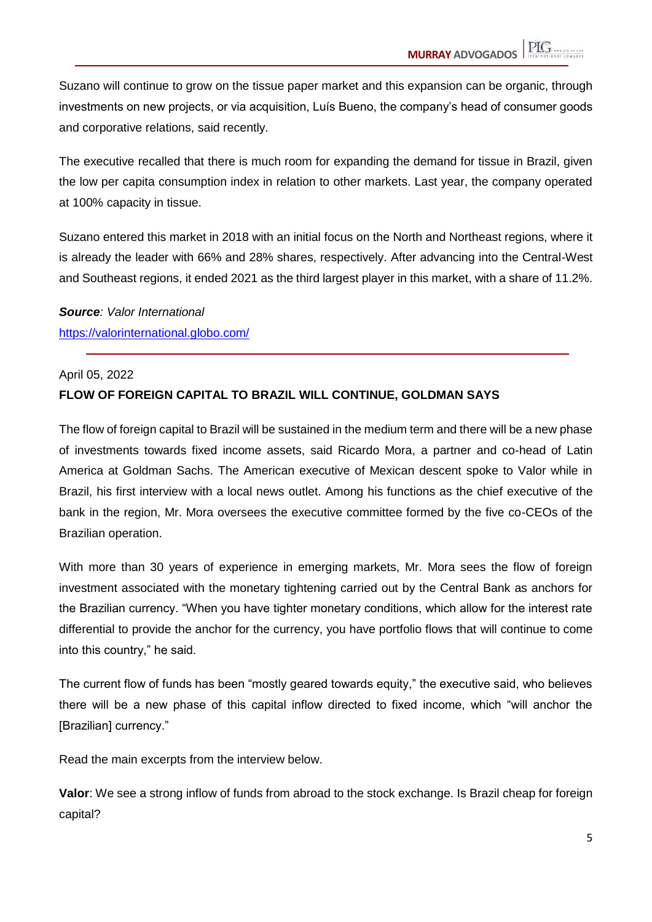Suzano will continue to grow on the tissue paper market and this expansion can be organic, through investments on new projects, or via acquisition, Luís Bueno, the company's head of consumer goods and corporative relations, said recently.

The executive recalled that there is much room for expanding the demand for tissue in Brazil, given the low per capita consumption index in relation to other markets. Last year, the company operated at 100% capacity in tissue.

Suzano entered this market in 2018 with an initial focus on the North and Northeast regions, where it is already the leader with 66% and 28% shares, respectively. After advancing into the Central-West and Southeast regions, it ended 2021 as the third largest player in this market, with a share of 11.2%.

*Source: Valor International* https://valorinternational.globo.com/

#### April 05, 2022

#### **FLOW OF FOREIGN CAPITAL TO BRAZIL WILL CONTINUE, GOLDMAN SAYS**

The flow of foreign capital to Brazil will be sustained in the medium term and there will be a new phase of investments towards fixed income assets, said Ricardo Mora, a partner and co-head of Latin America at Goldman Sachs. The American executive of Mexican descent spoke to Valor while in Brazil, his first interview with a local news outlet. Among his functions as the chief executive of the bank in the region, Mr. Mora oversees the executive committee formed by the five co-CEOs of the Brazilian operation.

With more than 30 years of experience in emerging markets, Mr. Mora sees the flow of foreign investment associated with the monetary tightening carried out by the Central Bank as anchors for the Brazilian currency. "When you have tighter monetary conditions, which allow for the interest rate differential to provide the anchor for the currency, you have portfolio flows that will continue to come into this country," he said.

The current flow of funds has been "mostly geared towards equity," the executive said, who believes there will be a new phase of this capital inflow directed to fixed income, which "will anchor the [Brazilian] currency."

Read the main excerpts from the interview below.

**Valor**: We see a strong inflow of funds from abroad to the stock exchange. Is Brazil cheap for foreign capital?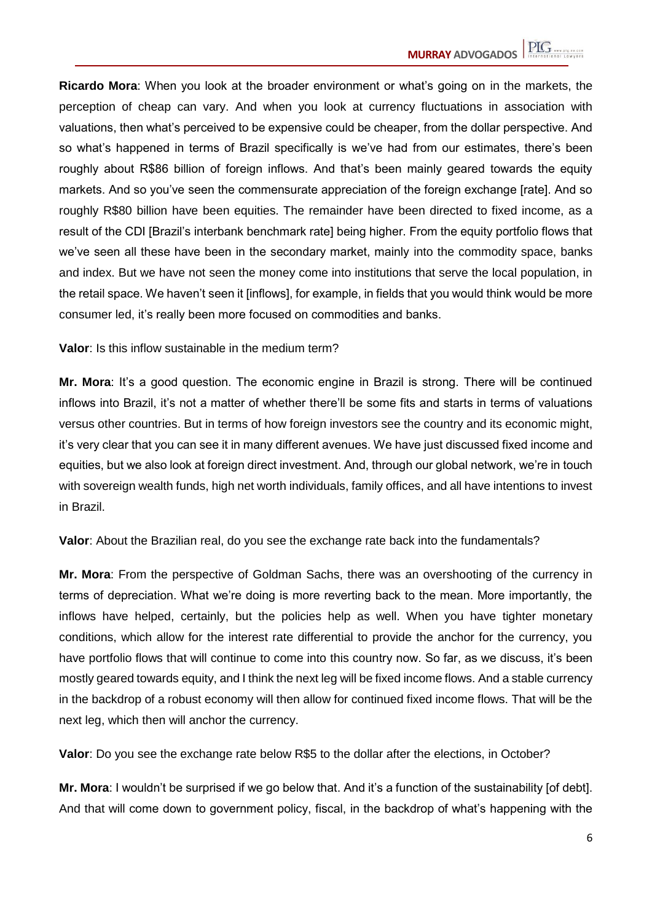**Ricardo Mora**: When you look at the broader environment or what's going on in the markets, the perception of cheap can vary. And when you look at currency fluctuations in association with valuations, then what's perceived to be expensive could be cheaper, from the dollar perspective. And so what's happened in terms of Brazil specifically is we've had from our estimates, there's been roughly about R\$86 billion of foreign inflows. And that's been mainly geared towards the equity markets. And so you've seen the commensurate appreciation of the foreign exchange [rate]. And so roughly R\$80 billion have been equities. The remainder have been directed to fixed income, as a result of the CDI [Brazil's interbank benchmark rate] being higher. From the equity portfolio flows that we've seen all these have been in the secondary market, mainly into the commodity space, banks and index. But we have not seen the money come into institutions that serve the local population, in the retail space. We haven't seen it [inflows], for example, in fields that you would think would be more consumer led, it's really been more focused on commodities and banks.

**Valor**: Is this inflow sustainable in the medium term?

**Mr. Mora:** It's a good question. The economic engine in Brazil is strong. There will be continued inflows into Brazil, it's not a matter of whether there'll be some fits and starts in terms of valuations versus other countries. But in terms of how foreign investors see the country and its economic might, it's very clear that you can see it in many different avenues. We have just discussed fixed income and equities, but we also look at foreign direct investment. And, through our global network, we're in touch with sovereign wealth funds, high net worth individuals, family offices, and all have intentions to invest in Brazil.

**Valor**: About the Brazilian real, do you see the exchange rate back into the fundamentals?

**Mr. Mora**: From the perspective of Goldman Sachs, there was an overshooting of the currency in terms of depreciation. What we're doing is more reverting back to the mean. More importantly, the inflows have helped, certainly, but the policies help as well. When you have tighter monetary conditions, which allow for the interest rate differential to provide the anchor for the currency, you have portfolio flows that will continue to come into this country now. So far, as we discuss, it's been mostly geared towards equity, and I think the next leg will be fixed income flows. And a stable currency in the backdrop of a robust economy will then allow for continued fixed income flows. That will be the next leg, which then will anchor the currency.

**Valor**: Do you see the exchange rate below R\$5 to the dollar after the elections, in October?

**Mr. Mora**: I wouldn't be surprised if we go below that. And it's a function of the sustainability [of debt]. And that will come down to government policy, fiscal, in the backdrop of what's happening with the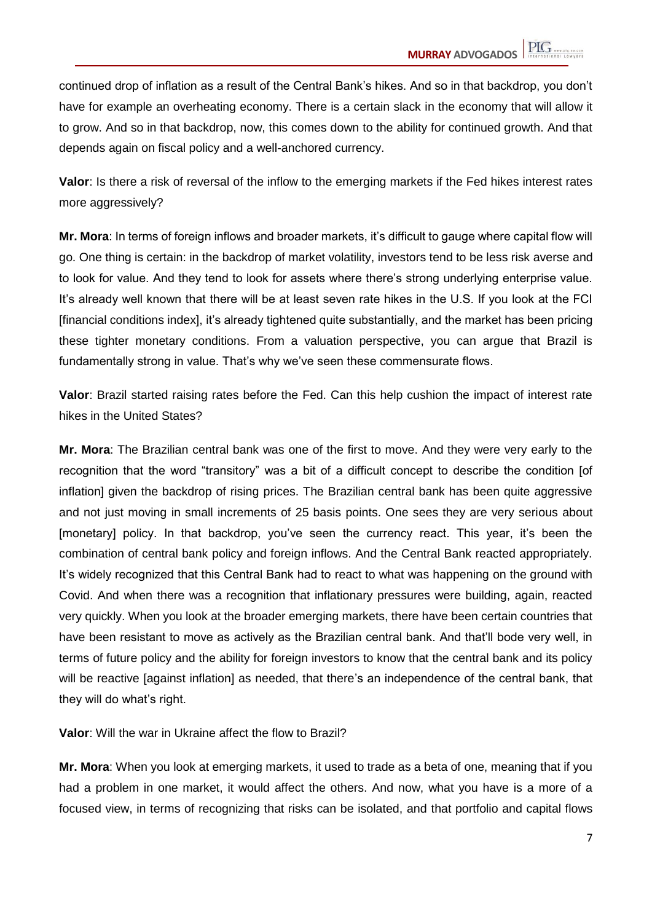continued drop of inflation as a result of the Central Bank's hikes. And so in that backdrop, you don't have for example an overheating economy. There is a certain slack in the economy that will allow it to grow. And so in that backdrop, now, this comes down to the ability for continued growth. And that depends again on fiscal policy and a well-anchored currency.

**Valor**: Is there a risk of reversal of the inflow to the emerging markets if the Fed hikes interest rates more aggressively?

**Mr. Mora**: In terms of foreign inflows and broader markets, it's difficult to gauge where capital flow will go. One thing is certain: in the backdrop of market volatility, investors tend to be less risk averse and to look for value. And they tend to look for assets where there's strong underlying enterprise value. It's already well known that there will be at least seven rate hikes in the U.S. If you look at the FCI [financial conditions index], it's already tightened quite substantially, and the market has been pricing these tighter monetary conditions. From a valuation perspective, you can argue that Brazil is fundamentally strong in value. That's why we've seen these commensurate flows.

**Valor**: Brazil started raising rates before the Fed. Can this help cushion the impact of interest rate hikes in the United States?

**Mr. Mora**: The Brazilian central bank was one of the first to move. And they were very early to the recognition that the word "transitory" was a bit of a difficult concept to describe the condition [of inflation] given the backdrop of rising prices. The Brazilian central bank has been quite aggressive and not just moving in small increments of 25 basis points. One sees they are very serious about [monetary] policy. In that backdrop, you've seen the currency react. This year, it's been the combination of central bank policy and foreign inflows. And the Central Bank reacted appropriately. It's widely recognized that this Central Bank had to react to what was happening on the ground with Covid. And when there was a recognition that inflationary pressures were building, again, reacted very quickly. When you look at the broader emerging markets, there have been certain countries that have been resistant to move as actively as the Brazilian central bank. And that'll bode very well, in terms of future policy and the ability for foreign investors to know that the central bank and its policy will be reactive [against inflation] as needed, that there's an independence of the central bank, that they will do what's right.

**Valor**: Will the war in Ukraine affect the flow to Brazil?

**Mr. Mora**: When you look at emerging markets, it used to trade as a beta of one, meaning that if you had a problem in one market, it would affect the others. And now, what you have is a more of a focused view, in terms of recognizing that risks can be isolated, and that portfolio and capital flows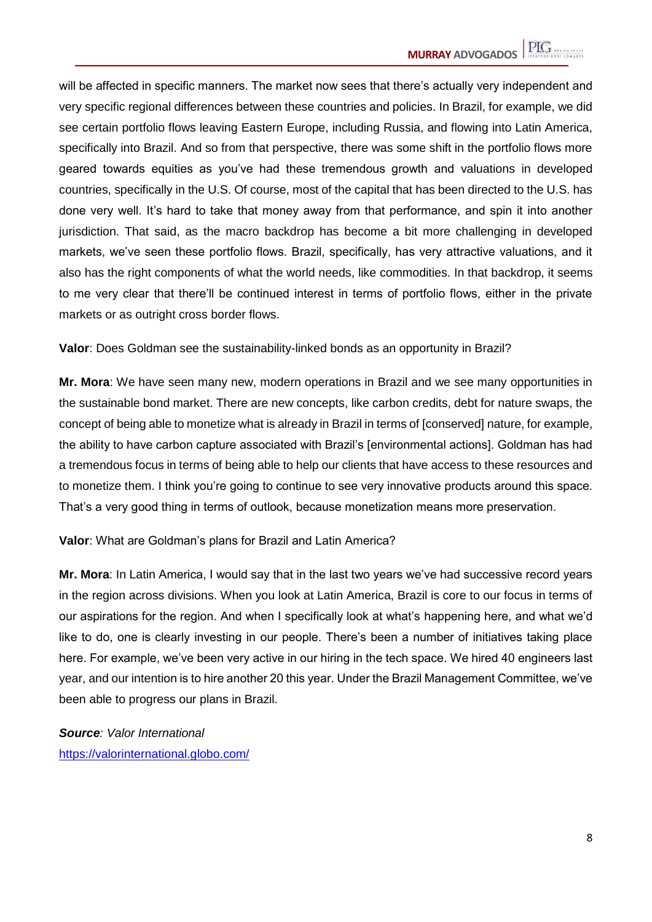will be affected in specific manners. The market now sees that there's actually very independent and very specific regional differences between these countries and policies. In Brazil, for example, we did see certain portfolio flows leaving Eastern Europe, including Russia, and flowing into Latin America, specifically into Brazil. And so from that perspective, there was some shift in the portfolio flows more geared towards equities as you've had these tremendous growth and valuations in developed countries, specifically in the U.S. Of course, most of the capital that has been directed to the U.S. has done very well. It's hard to take that money away from that performance, and spin it into another jurisdiction. That said, as the macro backdrop has become a bit more challenging in developed markets, we've seen these portfolio flows. Brazil, specifically, has very attractive valuations, and it also has the right components of what the world needs, like commodities. In that backdrop, it seems to me very clear that there'll be continued interest in terms of portfolio flows, either in the private markets or as outright cross border flows.

**Valor**: Does Goldman see the sustainability-linked bonds as an opportunity in Brazil?

**Mr. Mora**: We have seen many new, modern operations in Brazil and we see many opportunities in the sustainable bond market. There are new concepts, like carbon credits, debt for nature swaps, the concept of being able to monetize what is already in Brazil in terms of [conserved] nature, for example, the ability to have carbon capture associated with Brazil's [environmental actions]. Goldman has had a tremendous focus in terms of being able to help our clients that have access to these resources and to monetize them. I think you're going to continue to see very innovative products around this space. That's a very good thing in terms of outlook, because monetization means more preservation.

**Valor**: What are Goldman's plans for Brazil and Latin America?

**Mr. Mora**: In Latin America, I would say that in the last two years we've had successive record years in the region across divisions. When you look at Latin America, Brazil is core to our focus in terms of our aspirations for the region. And when I specifically look at what's happening here, and what we'd like to do, one is clearly investing in our people. There's been a number of initiatives taking place here. For example, we've been very active in our hiring in the tech space. We hired 40 engineers last year, and our intention is to hire another 20 this year. Under the Brazil Management Committee, we've been able to progress our plans in Brazil.

*Source: Valor International* https://valorinternational.globo.com/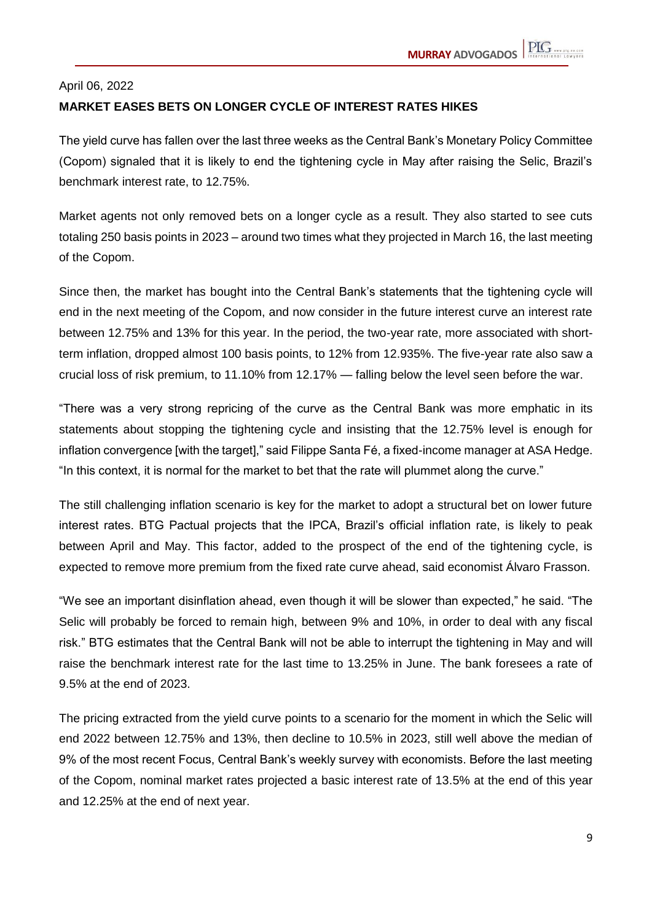## April 06, 2022 **MARKET EASES BETS ON LONGER CYCLE OF INTEREST RATES HIKES**

The yield curve has fallen over the last three weeks as the Central Bank's Monetary Policy Committee (Copom) signaled that it is likely to end the tightening cycle in May after raising the Selic, Brazil's benchmark interest rate, to 12.75%.

Market agents not only removed bets on a longer cycle as a result. They also started to see cuts totaling 250 basis points in 2023 – around two times what they projected in March 16, the last meeting of the Copom.

Since then, the market has bought into the Central Bank's statements that the tightening cycle will end in the next meeting of the Copom, and now consider in the future interest curve an interest rate between 12.75% and 13% for this year. In the period, the two-year rate, more associated with shortterm inflation, dropped almost 100 basis points, to 12% from 12.935%. The five-year rate also saw a crucial loss of risk premium, to 11.10% from 12.17% — falling below the level seen before the war.

"There was a very strong repricing of the curve as the Central Bank was more emphatic in its statements about stopping the tightening cycle and insisting that the 12.75% level is enough for inflation convergence [with the target]," said Filippe Santa Fé, a fixed-income manager at ASA Hedge. "In this context, it is normal for the market to bet that the rate will plummet along the curve."

The still challenging inflation scenario is key for the market to adopt a structural bet on lower future interest rates. BTG Pactual projects that the IPCA, Brazil's official inflation rate, is likely to peak between April and May. This factor, added to the prospect of the end of the tightening cycle, is expected to remove more premium from the fixed rate curve ahead, said economist Álvaro Frasson.

"We see an important disinflation ahead, even though it will be slower than expected," he said. "The Selic will probably be forced to remain high, between 9% and 10%, in order to deal with any fiscal risk." BTG estimates that the Central Bank will not be able to interrupt the tightening in May and will raise the benchmark interest rate for the last time to 13.25% in June. The bank foresees a rate of 9.5% at the end of 2023.

The pricing extracted from the yield curve points to a scenario for the moment in which the Selic will end 2022 between 12.75% and 13%, then decline to 10.5% in 2023, still well above the median of 9% of the most recent Focus, Central Bank's weekly survey with economists. Before the last meeting of the Copom, nominal market rates projected a basic interest rate of 13.5% at the end of this year and 12.25% at the end of next year.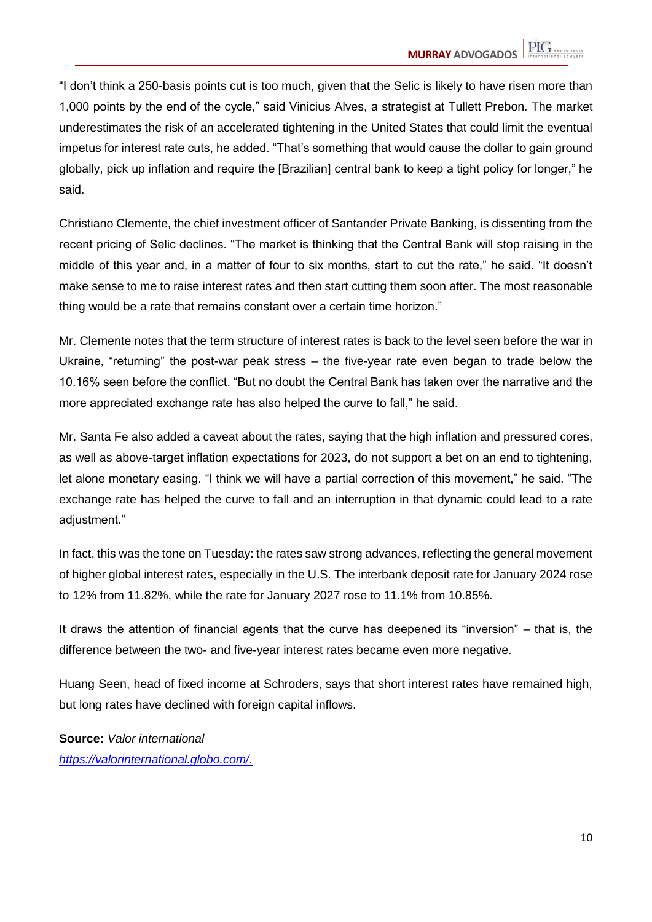"I don't think a 250-basis points cut is too much, given that the Selic is likely to have risen more than 1,000 points by the end of the cycle," said Vinicius Alves, a strategist at Tullett Prebon. The market underestimates the risk of an accelerated tightening in the United States that could limit the eventual impetus for interest rate cuts, he added. "That's something that would cause the dollar to gain ground globally, pick up inflation and require the [Brazilian] central bank to keep a tight policy for longer," he said.

Christiano Clemente, the chief investment officer of Santander Private Banking, is dissenting from the recent pricing of Selic declines. "The market is thinking that the Central Bank will stop raising in the middle of this year and, in a matter of four to six months, start to cut the rate," he said. "It doesn't make sense to me to raise interest rates and then start cutting them soon after. The most reasonable thing would be a rate that remains constant over a certain time horizon."

Mr. Clemente notes that the term structure of interest rates is back to the level seen before the war in Ukraine, "returning" the post-war peak stress – the five-year rate even began to trade below the 10.16% seen before the conflict. "But no doubt the Central Bank has taken over the narrative and the more appreciated exchange rate has also helped the curve to fall," he said.

Mr. Santa Fe also added a caveat about the rates, saying that the high inflation and pressured cores, as well as above-target inflation expectations for 2023, do not support a bet on an end to tightening, let alone monetary easing. "I think we will have a partial correction of this movement," he said. "The exchange rate has helped the curve to fall and an interruption in that dynamic could lead to a rate adjustment."

In fact, this was the tone on Tuesday: the rates saw strong advances, reflecting the general movement of higher global interest rates, especially in the U.S. The interbank deposit rate for January 2024 rose to 12% from 11.82%, while the rate for January 2027 rose to 11.1% from 10.85%.

It draws the attention of financial agents that the curve has deepened its "inversion" – that is, the difference between the two- and five-year interest rates became even more negative.

Huang Seen, head of fixed income at Schroders, says that short interest rates have remained high, but long rates have declined with foreign capital inflows.

**Source:** *Valor international https://valorinternational.globo.com/.*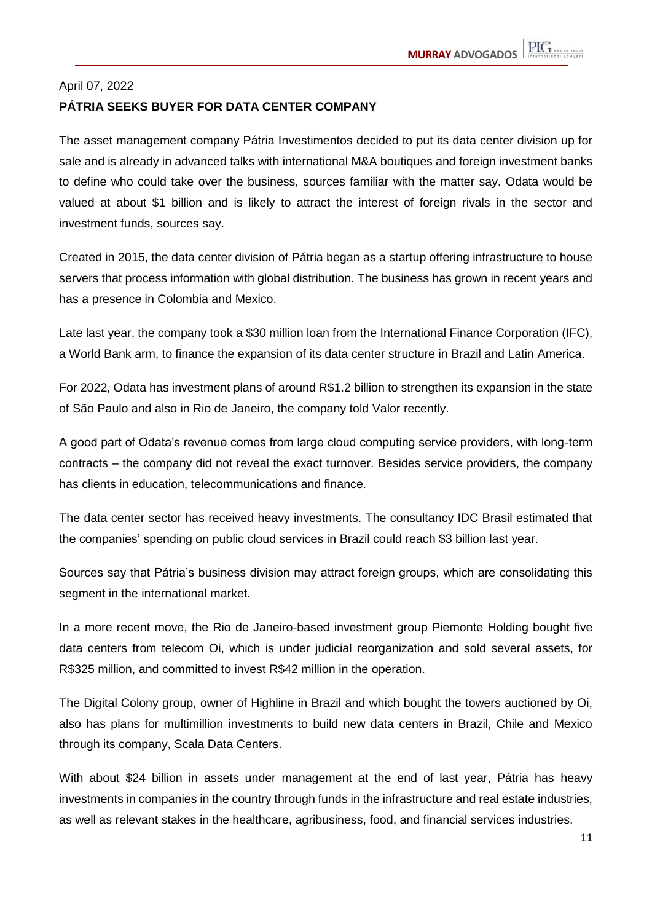## April 07, 2022 **PÁTRIA SEEKS BUYER FOR DATA CENTER COMPANY**

The asset management company Pátria Investimentos decided to put its data center division up for sale and is already in advanced talks with international M&A boutiques and foreign investment banks to define who could take over the business, sources familiar with the matter say. Odata would be valued at about \$1 billion and is likely to attract the interest of foreign rivals in the sector and investment funds, sources say.

Created in 2015, the data center division of Pátria began as a startup offering infrastructure to house servers that process information with global distribution. The business has grown in recent years and has a presence in Colombia and Mexico.

Late last year, the company took a \$30 million loan from the International Finance Corporation (IFC), a World Bank arm, to finance the expansion of its data center structure in Brazil and Latin America.

For 2022, Odata has investment plans of around R\$1.2 billion to strengthen its expansion in the state of São Paulo and also in Rio de Janeiro, the company told Valor recently.

A good part of Odata's revenue comes from large cloud computing service providers, with long-term contracts – the company did not reveal the exact turnover. Besides service providers, the company has clients in education, telecommunications and finance.

The data center sector has received heavy investments. The consultancy IDC Brasil estimated that the companies' spending on public cloud services in Brazil could reach \$3 billion last year.

Sources say that Pátria's business division may attract foreign groups, which are consolidating this segment in the international market.

In a more recent move, the Rio de Janeiro-based investment group Piemonte Holding bought five data centers from telecom Oi, which is under judicial reorganization and sold several assets, for R\$325 million, and committed to invest R\$42 million in the operation.

The Digital Colony group, owner of Highline in Brazil and which bought the towers auctioned by Oi, also has plans for multimillion investments to build new data centers in Brazil, Chile and Mexico through its company, Scala Data Centers.

With about \$24 billion in assets under management at the end of last year, Pátria has heavy investments in companies in the country through funds in the infrastructure and real estate industries, as well as relevant stakes in the healthcare, agribusiness, food, and financial services industries.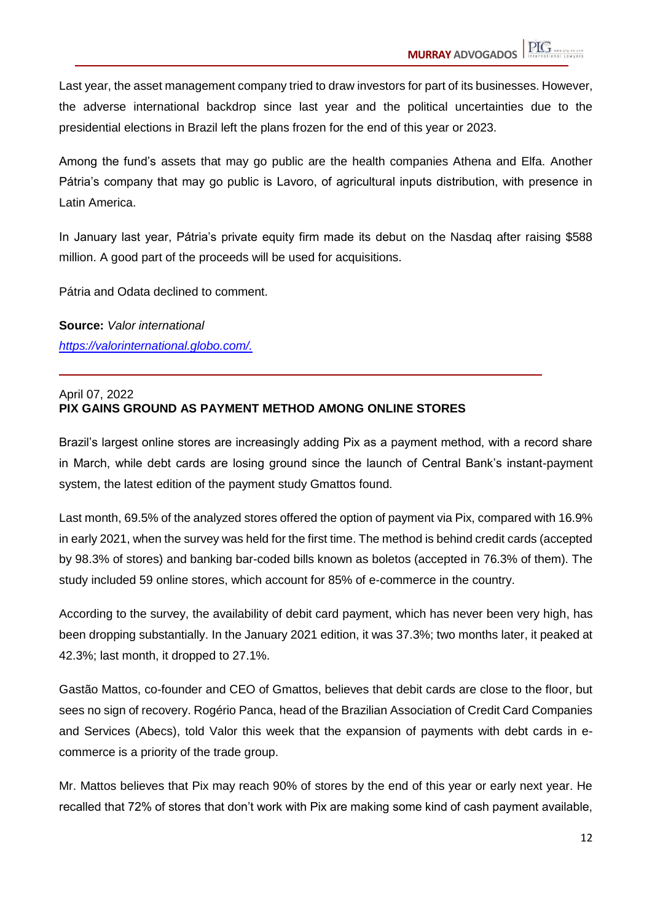Last year, the asset management company tried to draw investors for part of its businesses. However, the adverse international backdrop since last year and the political uncertainties due to the presidential elections in Brazil left the plans frozen for the end of this year or 2023.

Among the fund's assets that may go public are the health companies Athena and Elfa. Another Pátria's company that may go public is Lavoro, of agricultural inputs distribution, with presence in Latin America.

In January last year, Pátria's private equity firm made its debut on the Nasdaq after raising \$588 million. A good part of the proceeds will be used for acquisitions.

Pátria and Odata declined to comment.

**Source:** *Valor international https://valorinternational.globo.com/.*

#### April 07, 2022 **PIX GAINS GROUND AS PAYMENT METHOD AMONG ONLINE STORES**

Brazil's largest online stores are increasingly adding Pix as a payment method, with a record share in March, while debt cards are losing ground since the launch of Central Bank's instant-payment system, the latest edition of the payment study Gmattos found.

Last month, 69.5% of the analyzed stores offered the option of payment via Pix, compared with 16.9% in early 2021, when the survey was held for the first time. The method is behind credit cards (accepted by 98.3% of stores) and banking bar-coded bills known as boletos (accepted in 76.3% of them). The study included 59 online stores, which account for 85% of e-commerce in the country.

According to the survey, the availability of debit card payment, which has never been very high, has been dropping substantially. In the January 2021 edition, it was 37.3%; two months later, it peaked at 42.3%; last month, it dropped to 27.1%.

Gastão Mattos, co-founder and CEO of Gmattos, believes that debit cards are close to the floor, but sees no sign of recovery. Rogério Panca, head of the Brazilian Association of Credit Card Companies and Services (Abecs), told Valor this week that the expansion of payments with debt cards in ecommerce is a priority of the trade group.

Mr. Mattos believes that Pix may reach 90% of stores by the end of this year or early next year. He recalled that 72% of stores that don't work with Pix are making some kind of cash payment available,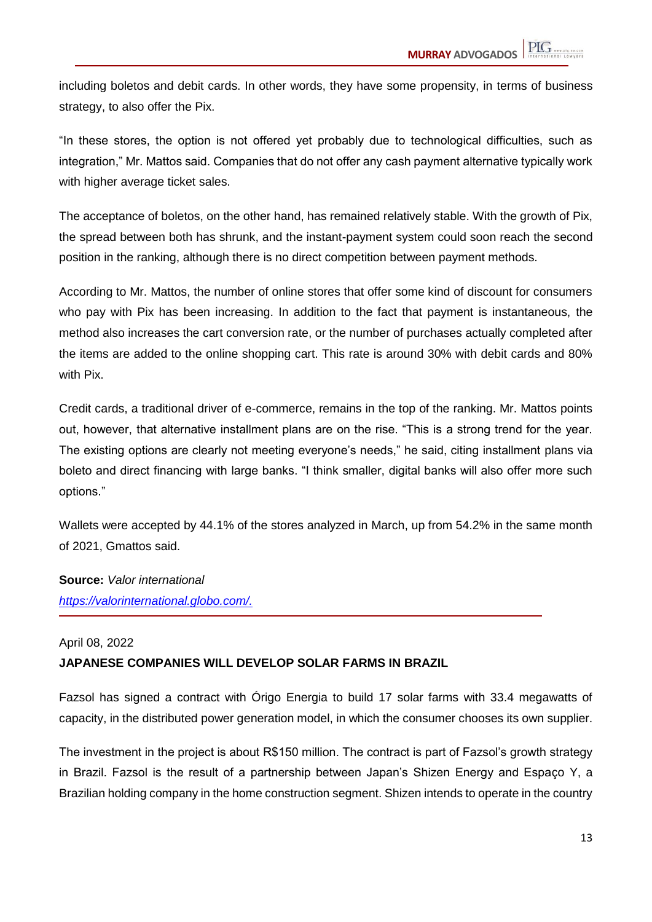including boletos and debit cards. In other words, they have some propensity, in terms of business strategy, to also offer the Pix.

"In these stores, the option is not offered yet probably due to technological difficulties, such as integration," Mr. Mattos said. Companies that do not offer any cash payment alternative typically work with higher average ticket sales.

The acceptance of boletos, on the other hand, has remained relatively stable. With the growth of Pix, the spread between both has shrunk, and the instant-payment system could soon reach the second position in the ranking, although there is no direct competition between payment methods.

According to Mr. Mattos, the number of online stores that offer some kind of discount for consumers who pay with Pix has been increasing. In addition to the fact that payment is instantaneous, the method also increases the cart conversion rate, or the number of purchases actually completed after the items are added to the online shopping cart. This rate is around 30% with debit cards and 80% with Pix.

Credit cards, a traditional driver of e-commerce, remains in the top of the ranking. Mr. Mattos points out, however, that alternative installment plans are on the rise. "This is a strong trend for the year. The existing options are clearly not meeting everyone's needs," he said, citing installment plans via boleto and direct financing with large banks. "I think smaller, digital banks will also offer more such options."

Wallets were accepted by 44.1% of the stores analyzed in March, up from 54.2% in the same month of 2021, Gmattos said.

**Source:** *Valor international https://valorinternational.globo.com/.*

#### April 08, 2022

#### **JAPANESE COMPANIES WILL DEVELOP SOLAR FARMS IN BRAZIL**

Fazsol has signed a contract with Órigo Energia to build 17 solar farms with 33.4 megawatts of capacity, in the distributed power generation model, in which the consumer chooses its own supplier.

The investment in the project is about R\$150 million. The contract is part of Fazsol's growth strategy in Brazil. Fazsol is the result of a partnership between Japan's Shizen Energy and Espaço Y, a Brazilian holding company in the home construction segment. Shizen intends to operate in the country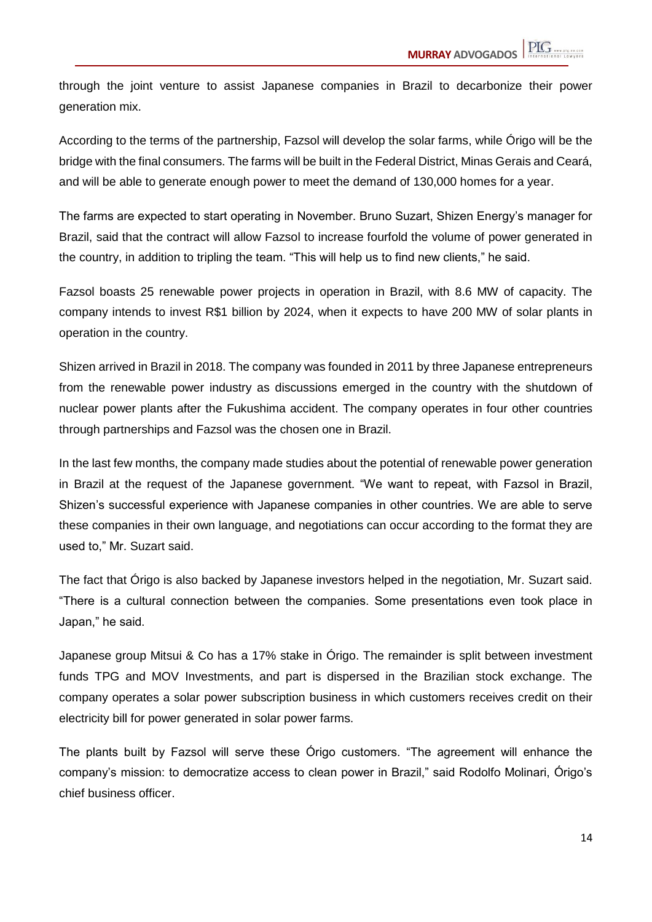through the joint venture to assist Japanese companies in Brazil to decarbonize their power generation mix.

According to the terms of the partnership, Fazsol will develop the solar farms, while Órigo will be the bridge with the final consumers. The farms will be built in the Federal District, Minas Gerais and Ceará, and will be able to generate enough power to meet the demand of 130,000 homes for a year.

The farms are expected to start operating in November. Bruno Suzart, Shizen Energy's manager for Brazil, said that the contract will allow Fazsol to increase fourfold the volume of power generated in the country, in addition to tripling the team. "This will help us to find new clients," he said.

Fazsol boasts 25 renewable power projects in operation in Brazil, with 8.6 MW of capacity. The company intends to invest R\$1 billion by 2024, when it expects to have 200 MW of solar plants in operation in the country.

Shizen arrived in Brazil in 2018. The company was founded in 2011 by three Japanese entrepreneurs from the renewable power industry as discussions emerged in the country with the shutdown of nuclear power plants after the Fukushima accident. The company operates in four other countries through partnerships and Fazsol was the chosen one in Brazil.

In the last few months, the company made studies about the potential of renewable power generation in Brazil at the request of the Japanese government. "We want to repeat, with Fazsol in Brazil, Shizen's successful experience with Japanese companies in other countries. We are able to serve these companies in their own language, and negotiations can occur according to the format they are used to," Mr. Suzart said.

The fact that Órigo is also backed by Japanese investors helped in the negotiation, Mr. Suzart said. "There is a cultural connection between the companies. Some presentations even took place in Japan," he said.

Japanese group Mitsui & Co has a 17% stake in Órigo. The remainder is split between investment funds TPG and MOV Investments, and part is dispersed in the Brazilian stock exchange. The company operates a solar power subscription business in which customers receives credit on their electricity bill for power generated in solar power farms.

The plants built by Fazsol will serve these Órigo customers. "The agreement will enhance the company's mission: to democratize access to clean power in Brazil," said Rodolfo Molinari, Órigo's chief business officer.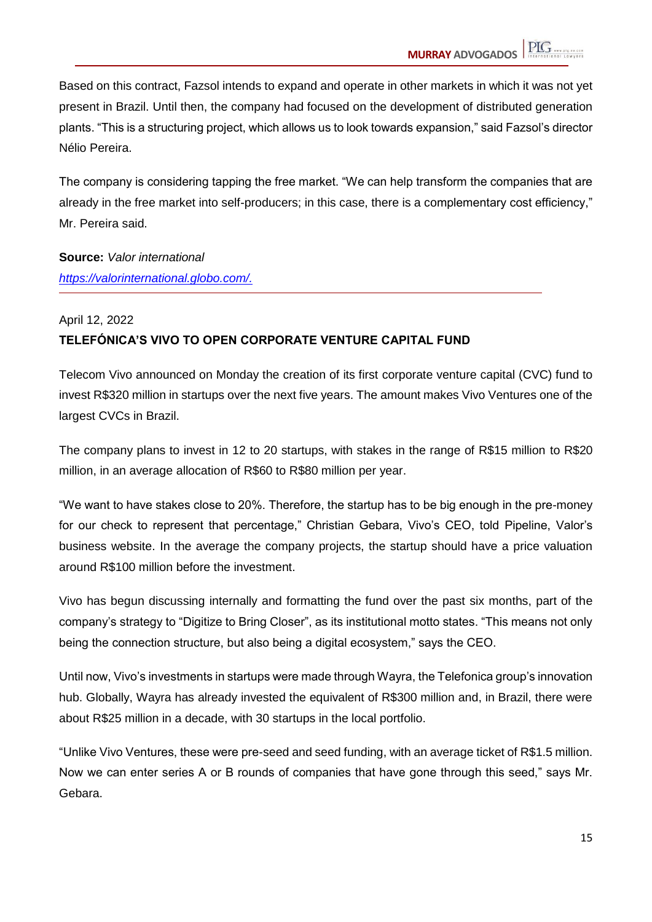Based on this contract, Fazsol intends to expand and operate in other markets in which it was not yet present in Brazil. Until then, the company had focused on the development of distributed generation plants. "This is a structuring project, which allows us to look towards expansion," said Fazsol's director Nélio Pereira.

The company is considering tapping the free market. "We can help transform the companies that are already in the free market into self-producers; in this case, there is a complementary cost efficiency," Mr. Pereira said.

**Source:** *Valor international https://valorinternational.globo.com/.*

## April 12, 2022 **TELEFÓNICA'S VIVO TO OPEN CORPORATE VENTURE CAPITAL FUND**

Telecom Vivo announced on Monday the creation of its first corporate venture capital (CVC) fund to invest R\$320 million in startups over the next five years. The amount makes Vivo Ventures one of the largest CVCs in Brazil.

The company plans to invest in 12 to 20 startups, with stakes in the range of R\$15 million to R\$20 million, in an average allocation of R\$60 to R\$80 million per year.

"We want to have stakes close to 20%. Therefore, the startup has to be big enough in the pre-money for our check to represent that percentage," Christian Gebara, Vivo's CEO, told Pipeline, Valor's business website. In the average the company projects, the startup should have a price valuation around R\$100 million before the investment.

Vivo has begun discussing internally and formatting the fund over the past six months, part of the company's strategy to "Digitize to Bring Closer", as its institutional motto states. "This means not only being the connection structure, but also being a digital ecosystem," says the CEO.

Until now, Vivo's investments in startups were made through Wayra, the Telefonica group's innovation hub. Globally, Wayra has already invested the equivalent of R\$300 million and, in Brazil, there were about R\$25 million in a decade, with 30 startups in the local portfolio.

"Unlike Vivo Ventures, these were pre-seed and seed funding, with an average ticket of R\$1.5 million. Now we can enter series A or B rounds of companies that have gone through this seed," says Mr. Gebara.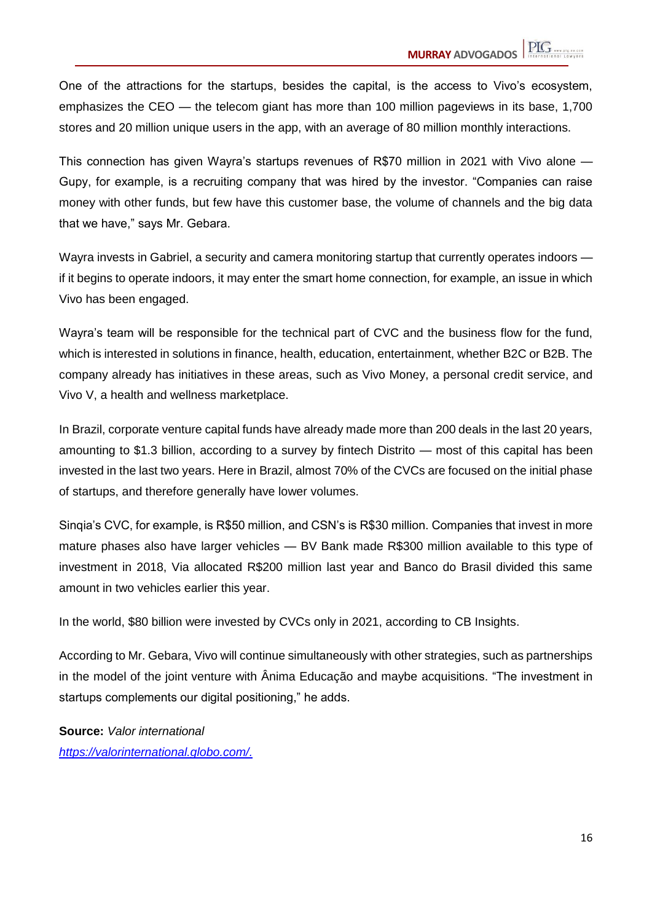One of the attractions for the startups, besides the capital, is the access to Vivo's ecosystem, emphasizes the CEO — the telecom giant has more than 100 million pageviews in its base, 1,700 stores and 20 million unique users in the app, with an average of 80 million monthly interactions.

This connection has given Wayra's startups revenues of R\$70 million in 2021 with Vivo alone — Gupy, for example, is a recruiting company that was hired by the investor. "Companies can raise money with other funds, but few have this customer base, the volume of channels and the big data that we have," says Mr. Gebara.

Wayra invests in Gabriel, a security and camera monitoring startup that currently operates indoors if it begins to operate indoors, it may enter the smart home connection, for example, an issue in which Vivo has been engaged.

Wayra's team will be responsible for the technical part of CVC and the business flow for the fund, which is interested in solutions in finance, health, education, entertainment, whether B2C or B2B. The company already has initiatives in these areas, such as Vivo Money, a personal credit service, and Vivo V, a health and wellness marketplace.

In Brazil, corporate venture capital funds have already made more than 200 deals in the last 20 years, amounting to \$1.3 billion, according to a survey by fintech Distrito — most of this capital has been invested in the last two years. Here in Brazil, almost 70% of the CVCs are focused on the initial phase of startups, and therefore generally have lower volumes.

Sinqia's CVC, for example, is R\$50 million, and CSN's is R\$30 million. Companies that invest in more mature phases also have larger vehicles — BV Bank made R\$300 million available to this type of investment in 2018, Via allocated R\$200 million last year and Banco do Brasil divided this same amount in two vehicles earlier this year.

In the world, \$80 billion were invested by CVCs only in 2021, according to CB Insights.

According to Mr. Gebara, Vivo will continue simultaneously with other strategies, such as partnerships in the model of the joint venture with Ânima Educação and maybe acquisitions. "The investment in startups complements our digital positioning," he adds.

**Source:** *Valor international [https://valorinternational.globo.com/.](https://valorinternational.globo.com/)*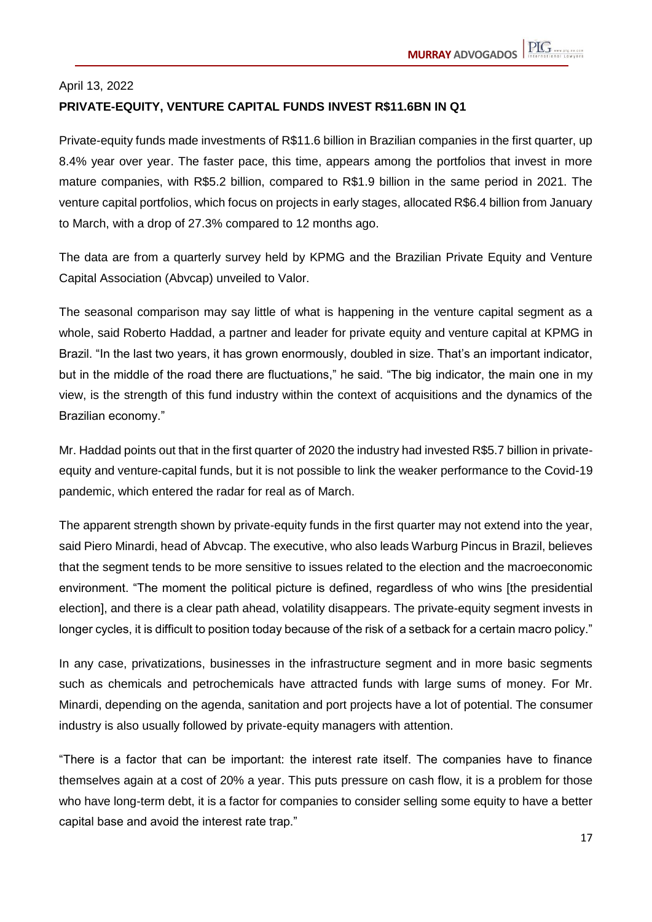## April 13, 2022 **PRIVATE-EQUITY, VENTURE CAPITAL FUNDS INVEST R\$11.6BN IN Q1**

Private-equity funds made investments of R\$11.6 billion in Brazilian companies in the first quarter, up 8.4% year over year. The faster pace, this time, appears among the portfolios that invest in more mature companies, with R\$5.2 billion, compared to R\$1.9 billion in the same period in 2021. The venture capital portfolios, which focus on projects in early stages, allocated R\$6.4 billion from January to March, with a drop of 27.3% compared to 12 months ago.

The data are from a quarterly survey held by KPMG and the Brazilian Private Equity and Venture Capital Association (Abvcap) unveiled to Valor.

The seasonal comparison may say little of what is happening in the venture capital segment as a whole, said Roberto Haddad, a partner and leader for private equity and venture capital at KPMG in Brazil. "In the last two years, it has grown enormously, doubled in size. That's an important indicator, but in the middle of the road there are fluctuations," he said. "The big indicator, the main one in my view, is the strength of this fund industry within the context of acquisitions and the dynamics of the Brazilian economy."

Mr. Haddad points out that in the first quarter of 2020 the industry had invested R\$5.7 billion in privateequity and venture-capital funds, but it is not possible to link the weaker performance to the Covid-19 pandemic, which entered the radar for real as of March.

The apparent strength shown by private-equity funds in the first quarter may not extend into the year, said Piero Minardi, head of Abvcap. The executive, who also leads Warburg Pincus in Brazil, believes that the segment tends to be more sensitive to issues related to the election and the macroeconomic environment. "The moment the political picture is defined, regardless of who wins [the presidential election], and there is a clear path ahead, volatility disappears. The private-equity segment invests in longer cycles, it is difficult to position today because of the risk of a setback for a certain macro policy."

In any case, privatizations, businesses in the infrastructure segment and in more basic segments such as chemicals and petrochemicals have attracted funds with large sums of money. For Mr. Minardi, depending on the agenda, sanitation and port projects have a lot of potential. The consumer industry is also usually followed by private-equity managers with attention.

"There is a factor that can be important: the interest rate itself. The companies have to finance themselves again at a cost of 20% a year. This puts pressure on cash flow, it is a problem for those who have long-term debt, it is a factor for companies to consider selling some equity to have a better capital base and avoid the interest rate trap."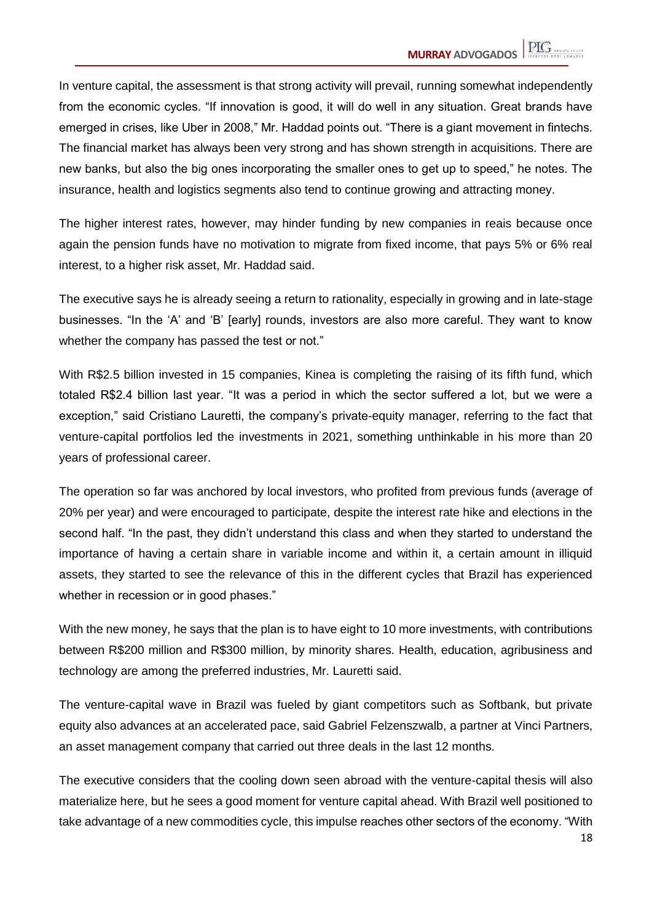In venture capital, the assessment is that strong activity will prevail, running somewhat independently from the economic cycles. "If innovation is good, it will do well in any situation. Great brands have emerged in crises, like Uber in 2008," Mr. Haddad points out. "There is a giant movement in fintechs. The financial market has always been very strong and has shown strength in acquisitions. There are new banks, but also the big ones incorporating the smaller ones to get up to speed," he notes. The insurance, health and logistics segments also tend to continue growing and attracting money.

The higher interest rates, however, may hinder funding by new companies in reais because once again the pension funds have no motivation to migrate from fixed income, that pays 5% or 6% real interest, to a higher risk asset, Mr. Haddad said.

The executive says he is already seeing a return to rationality, especially in growing and in late-stage businesses. "In the 'A' and 'B' [early] rounds, investors are also more careful. They want to know whether the company has passed the test or not."

With R\$2.5 billion invested in 15 companies, Kinea is completing the raising of its fifth fund, which totaled R\$2.4 billion last year. "It was a period in which the sector suffered a lot, but we were a exception," said Cristiano Lauretti, the company's private-equity manager, referring to the fact that venture-capital portfolios led the investments in 2021, something unthinkable in his more than 20 years of professional career.

The operation so far was anchored by local investors, who profited from previous funds (average of 20% per year) and were encouraged to participate, despite the interest rate hike and elections in the second half. "In the past, they didn't understand this class and when they started to understand the importance of having a certain share in variable income and within it, a certain amount in illiquid assets, they started to see the relevance of this in the different cycles that Brazil has experienced whether in recession or in good phases."

With the new money, he says that the plan is to have eight to 10 more investments, with contributions between R\$200 million and R\$300 million, by minority shares. Health, education, agribusiness and technology are among the preferred industries, Mr. Lauretti said.

The venture-capital wave in Brazil was fueled by giant competitors such as Softbank, but private equity also advances at an accelerated pace, said Gabriel Felzenszwalb, a partner at Vinci Partners, an asset management company that carried out three deals in the last 12 months.

The executive considers that the cooling down seen abroad with the venture-capital thesis will also materialize here, but he sees a good moment for venture capital ahead. With Brazil well positioned to take advantage of a new commodities cycle, this impulse reaches other sectors of the economy. "With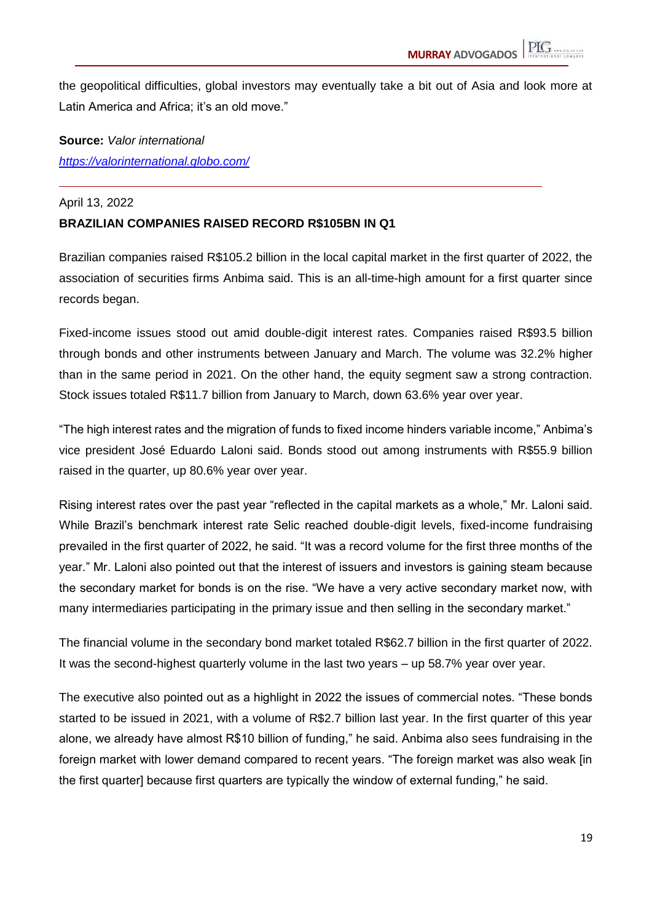the geopolitical difficulties, global investors may eventually take a bit out of Asia and look more at Latin America and Africa; it's an old move."

**Source:** *Valor international <https://valorinternational.globo.com/>*

#### April 13, 2022

#### **BRAZILIAN COMPANIES RAISED RECORD R\$105BN IN Q1**

Brazilian companies raised R\$105.2 billion in the local capital market in the first quarter of 2022, the association of securities firms Anbima said. This is an all-time-high amount for a first quarter since records began.

Fixed-income issues stood out amid double-digit interest rates. Companies raised R\$93.5 billion through bonds and other instruments between January and March. The volume was 32.2% higher than in the same period in 2021. On the other hand, the equity segment saw a strong contraction. Stock issues totaled R\$11.7 billion from January to March, down 63.6% year over year.

"The high interest rates and the migration of funds to fixed income hinders variable income," Anbima's vice president José Eduardo Laloni said. Bonds stood out among instruments with R\$55.9 billion raised in the quarter, up 80.6% year over year.

Rising interest rates over the past year "reflected in the capital markets as a whole," Mr. Laloni said. While Brazil's benchmark interest rate Selic reached double-digit levels, fixed-income fundraising prevailed in the first quarter of 2022, he said. "It was a record volume for the first three months of the year." Mr. Laloni also pointed out that the interest of issuers and investors is gaining steam because the secondary market for bonds is on the rise. "We have a very active secondary market now, with many intermediaries participating in the primary issue and then selling in the secondary market."

The financial volume in the secondary bond market totaled R\$62.7 billion in the first quarter of 2022. It was the second-highest quarterly volume in the last two years – up 58.7% year over year.

The executive also pointed out as a highlight in 2022 the issues of commercial notes. "These bonds started to be issued in 2021, with a volume of R\$2.7 billion last year. In the first quarter of this year alone, we already have almost R\$10 billion of funding," he said. Anbima also sees fundraising in the foreign market with lower demand compared to recent years. "The foreign market was also weak [in the first quarter] because first quarters are typically the window of external funding," he said.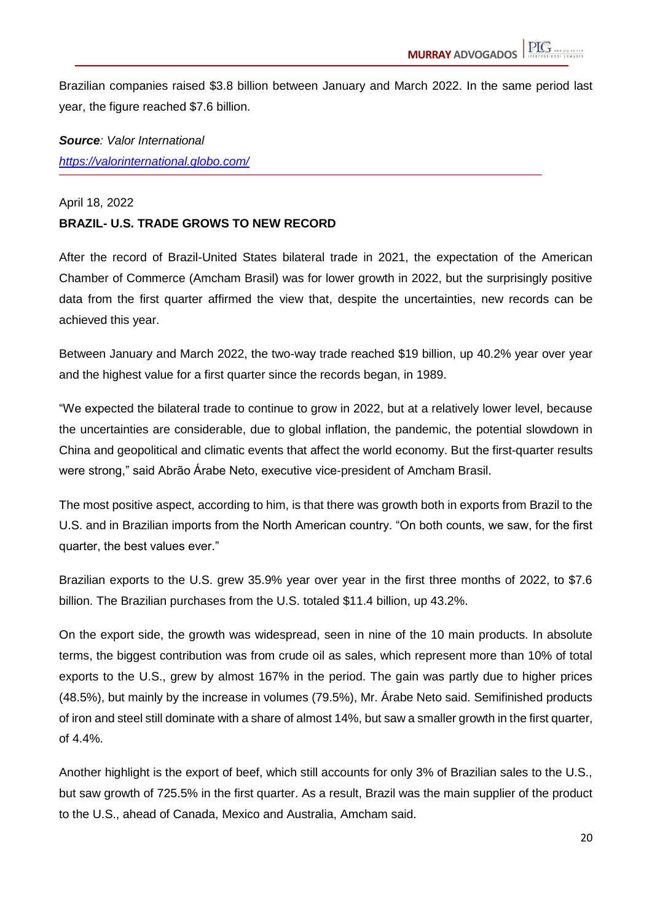Brazilian companies raised \$3.8 billion between January and March 2022. In the same period last year, the figure reached \$7.6 billion.

### *Source: Valor International <https://valorinternational.globo.com/>*

#### April 18, 2022

#### **BRAZIL- U.S. TRADE GROWS TO NEW RECORD**

After the record of Brazil-United States bilateral trade in 2021, the expectation of the American Chamber of Commerce (Amcham Brasil) was for lower growth in 2022, but the surprisingly positive data from the first quarter affirmed the view that, despite the uncertainties, new records can be achieved this year.

Between January and March 2022, the two-way trade reached \$19 billion, up 40.2% year over year and the highest value for a first quarter since the records began, in 1989.

"We expected the bilateral trade to continue to grow in 2022, but at a relatively lower level, because the uncertainties are considerable, due to global inflation, the pandemic, the potential slowdown in China and geopolitical and climatic events that affect the world economy. But the first-quarter results were strong," said Abrão Árabe Neto, executive vice-president of Amcham Brasil.

The most positive aspect, according to him, is that there was growth both in exports from Brazil to the U.S. and in Brazilian imports from the North American country. "On both counts, we saw, for the first quarter, the best values ever."

Brazilian exports to the U.S. grew 35.9% year over year in the first three months of 2022, to \$7.6 billion. The Brazilian purchases from the U.S. totaled \$11.4 billion, up 43.2%.

On the export side, the growth was widespread, seen in nine of the 10 main products. In absolute terms, the biggest contribution was from crude oil as sales, which represent more than 10% of total exports to the U.S., grew by almost 167% in the period. The gain was partly due to higher prices (48.5%), but mainly by the increase in volumes (79.5%), Mr. Árabe Neto said. Semifinished products of iron and steel still dominate with a share of almost 14%, but saw a smaller growth in the first quarter, of 4.4%.

Another highlight is the export of beef, which still accounts for only 3% of Brazilian sales to the U.S., but saw growth of 725.5% in the first quarter. As a result, Brazil was the main supplier of the product to the U.S., ahead of Canada, Mexico and Australia, Amcham said.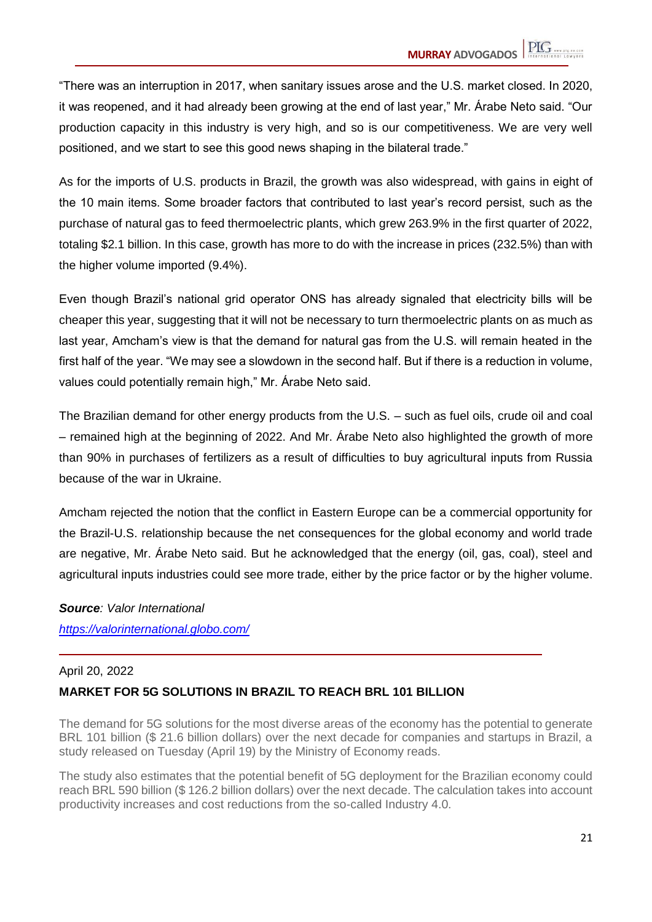"There was an interruption in 2017, when sanitary issues arose and the U.S. market closed. In 2020, it was reopened, and it had already been growing at the end of last year," Mr. Árabe Neto said. "Our production capacity in this industry is very high, and so is our competitiveness. We are very well positioned, and we start to see this good news shaping in the bilateral trade."

As for the imports of U.S. products in Brazil, the growth was also widespread, with gains in eight of the 10 main items. Some broader factors that contributed to last year's record persist, such as the purchase of natural gas to feed thermoelectric plants, which grew 263.9% in the first quarter of 2022, totaling \$2.1 billion. In this case, growth has more to do with the increase in prices (232.5%) than with the higher volume imported (9.4%).

Even though Brazil's national grid operator ONS has already signaled that electricity bills will be cheaper this year, suggesting that it will not be necessary to turn thermoelectric plants on as much as last year, Amcham's view is that the demand for natural gas from the U.S. will remain heated in the first half of the year. "We may see a slowdown in the second half. But if there is a reduction in volume, values could potentially remain high," Mr. Árabe Neto said.

The Brazilian demand for other energy products from the U.S. – such as fuel oils, crude oil and coal – remained high at the beginning of 2022. And Mr. Árabe Neto also highlighted the growth of more than 90% in purchases of fertilizers as a result of difficulties to buy agricultural inputs from Russia because of the war in Ukraine.

Amcham rejected the notion that the conflict in Eastern Europe can be a commercial opportunity for the Brazil-U.S. relationship because the net consequences for the global economy and world trade are negative, Mr. Árabe Neto said. But he acknowledged that the energy (oil, gas, coal), steel and agricultural inputs industries could see more trade, either by the price factor or by the higher volume.

#### *Source: Valor International*

*<https://valorinternational.globo.com/>*

#### April 20, 2022

#### **MARKET FOR 5G SOLUTIONS IN BRAZIL TO REACH BRL 101 BILLION**

The demand for 5G solutions for the most diverse areas of the economy has the potential to generate BRL 101 billion (\$ 21.6 billion dollars) over the next decade for companies and startups in Brazil, a study released on Tuesday (April 19) by the Ministry of Economy reads.

The study also estimates that the potential benefit of 5G deployment for the Brazilian economy could reach BRL 590 billion (\$ 126.2 billion dollars) over the next decade. The calculation takes into account productivity increases and cost reductions from the so-called Industry 4.0.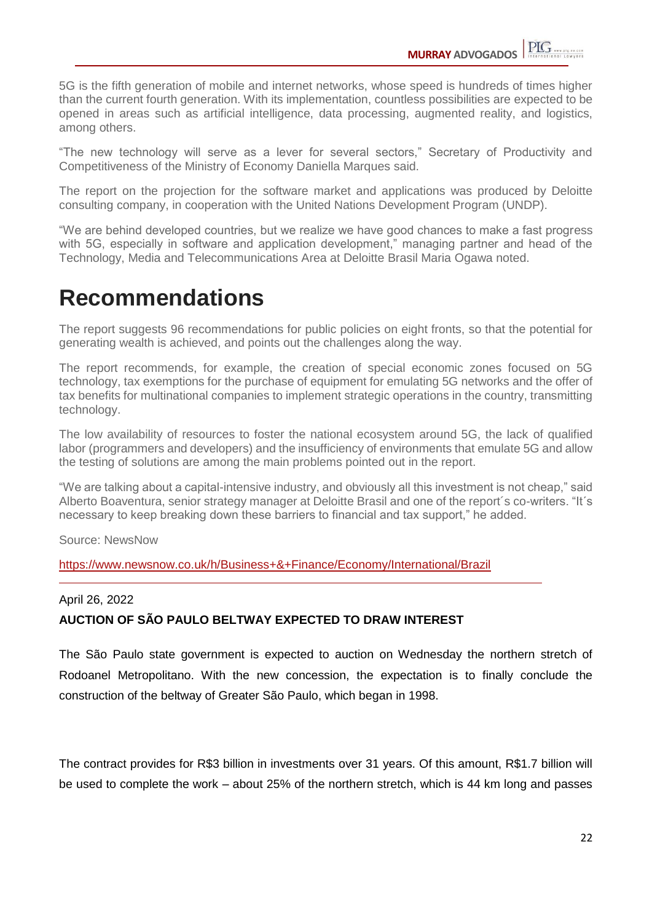5G is the fifth generation of mobile and internet networks, whose speed is hundreds of times higher than the current fourth generation. With its implementation, countless possibilities are expected to be opened in areas such as artificial intelligence, data processing, augmented reality, and logistics, among others.

"The new technology will serve as a lever for several sectors," Secretary of Productivity and Competitiveness of the Ministry of Economy Daniella Marques said.

The report on the projection for the software market and applications was produced by Deloitte consulting company, in cooperation with the United Nations Development Program (UNDP).

"We are behind developed countries, but we realize we have good chances to make a fast progress with 5G, especially in software and application development," managing partner and head of the Technology, Media and Telecommunications Area at Deloitte Brasil Maria Ogawa noted.

## **Recommendations**

The report suggests 96 recommendations for public policies on eight fronts, so that the potential for generating wealth is achieved, and points out the challenges along the way.

The report recommends, for example, the creation of special economic zones focused on 5G technology, tax exemptions for the purchase of equipment for emulating 5G networks and the offer of tax benefits for multinational companies to implement strategic operations in the country, transmitting technology.

The low availability of resources to foster the national ecosystem around 5G, the lack of qualified labor (programmers and developers) and the insufficiency of environments that emulate 5G and allow the testing of solutions are among the main problems pointed out in the report.

"We are talking about a capital-intensive industry, and obviously all this investment is not cheap," said Alberto Boaventura, senior strategy manager at Deloitte Brasil and one of the report´s co-writers. "It´s necessary to keep breaking down these barriers to financial and tax support," he added.

Source: NewsNow

<https://www.newsnow.co.uk/h/Business+&+Finance/Economy/International/Brazil>

#### April 26, 2022

#### **AUCTION OF SÃO PAULO BELTWAY EXPECTED TO DRAW INTEREST**

The São Paulo state government is expected to auction on Wednesday the northern stretch of Rodoanel Metropolitano. With the new concession, the expectation is to finally conclude the construction of the beltway of Greater São Paulo, which began in 1998.

The contract provides for R\$3 billion in investments over 31 years. Of this amount, R\$1.7 billion will be used to complete the work – about 25% of the northern stretch, which is 44 km long and passes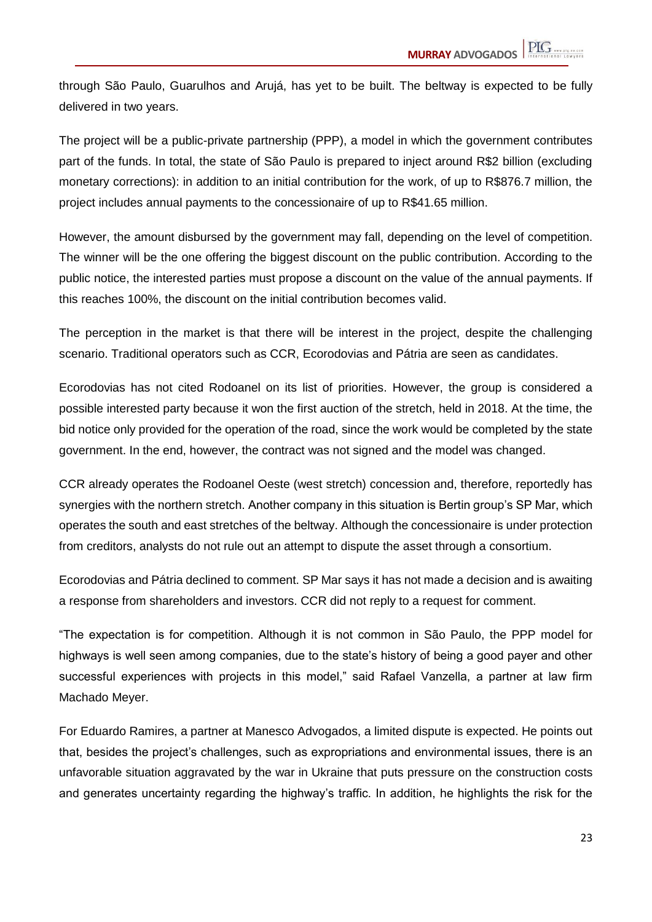through São Paulo, Guarulhos and Arujá, has yet to be built. The beltway is expected to be fully delivered in two years.

The project will be a public-private partnership (PPP), a model in which the government contributes part of the funds. In total, the state of São Paulo is prepared to inject around R\$2 billion (excluding monetary corrections): in addition to an initial contribution for the work, of up to R\$876.7 million, the project includes annual payments to the concessionaire of up to R\$41.65 million.

However, the amount disbursed by the government may fall, depending on the level of competition. The winner will be the one offering the biggest discount on the public contribution. According to the public notice, the interested parties must propose a discount on the value of the annual payments. If this reaches 100%, the discount on the initial contribution becomes valid.

The perception in the market is that there will be interest in the project, despite the challenging scenario. Traditional operators such as CCR, Ecorodovias and Pátria are seen as candidates.

Ecorodovias has not cited Rodoanel on its list of priorities. However, the group is considered a possible interested party because it won the first auction of the stretch, held in 2018. At the time, the bid notice only provided for the operation of the road, since the work would be completed by the state government. In the end, however, the contract was not signed and the model was changed.

CCR already operates the Rodoanel Oeste (west stretch) concession and, therefore, reportedly has synergies with the northern stretch. Another company in this situation is Bertin group's SP Mar, which operates the south and east stretches of the beltway. Although the concessionaire is under protection from creditors, analysts do not rule out an attempt to dispute the asset through a consortium.

Ecorodovias and Pátria declined to comment. SP Mar says it has not made a decision and is awaiting a response from shareholders and investors. CCR did not reply to a request for comment.

"The expectation is for competition. Although it is not common in São Paulo, the PPP model for highways is well seen among companies, due to the state's history of being a good payer and other successful experiences with projects in this model," said Rafael Vanzella, a partner at law firm Machado Meyer.

For Eduardo Ramires, a partner at Manesco Advogados, a limited dispute is expected. He points out that, besides the project's challenges, such as expropriations and environmental issues, there is an unfavorable situation aggravated by the war in Ukraine that puts pressure on the construction costs and generates uncertainty regarding the highway's traffic. In addition, he highlights the risk for the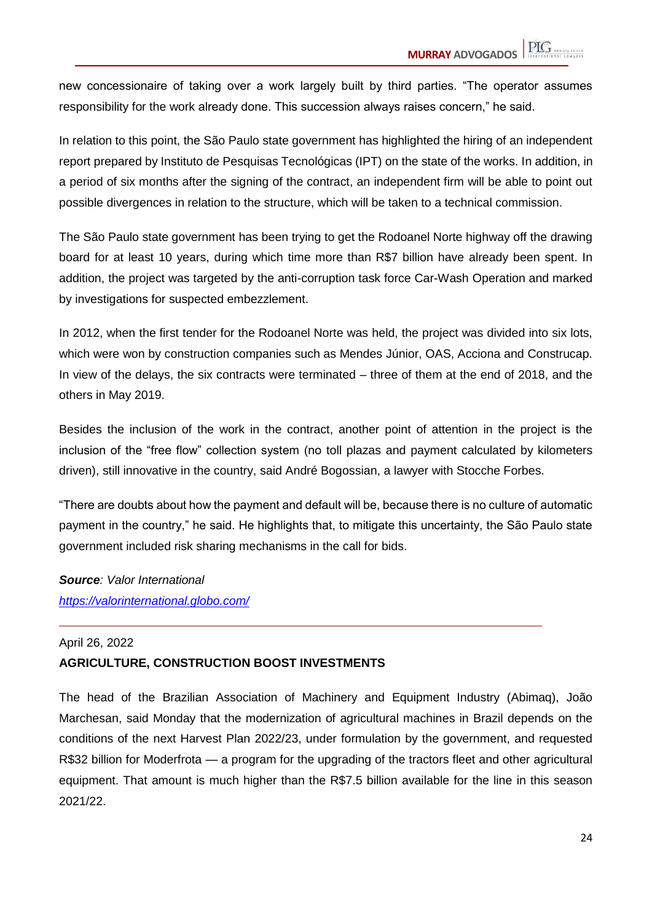new concessionaire of taking over a work largely built by third parties. "The operator assumes responsibility for the work already done. This succession always raises concern," he said.

In relation to this point, the São Paulo state government has highlighted the hiring of an independent report prepared by Instituto de Pesquisas Tecnológicas (IPT) on the state of the works. In addition, in a period of six months after the signing of the contract, an independent firm will be able to point out possible divergences in relation to the structure, which will be taken to a technical commission.

The São Paulo state government has been trying to get the Rodoanel Norte highway off the drawing board for at least 10 years, during which time more than R\$7 billion have already been spent. In addition, the project was targeted by the anti-corruption task force Car-Wash Operation and marked by investigations for suspected embezzlement.

In 2012, when the first tender for the Rodoanel Norte was held, the project was divided into six lots, which were won by construction companies such as Mendes Júnior, OAS, Acciona and Construcap. In view of the delays, the six contracts were terminated – three of them at the end of 2018, and the others in May 2019.

Besides the inclusion of the work in the contract, another point of attention in the project is the inclusion of the "free flow" collection system (no toll plazas and payment calculated by kilometers driven), still innovative in the country, said André Bogossian, a lawyer with Stocche Forbes.

"There are doubts about how the payment and default will be, because there is no culture of automatic payment in the country," he said. He highlights that, to mitigate this uncertainty, the São Paulo state government included risk sharing mechanisms in the call for bids.

*Source: Valor International <https://valorinternational.globo.com/>*

#### April 26, 2022 **AGRICULTURE, CONSTRUCTION BOOST INVESTMENTS**

The head of the Brazilian Association of Machinery and Equipment Industry (Abimaq), João Marchesan, said Monday that the modernization of agricultural machines in Brazil depends on the conditions of the next Harvest Plan 2022/23, under formulation by the government, and requested R\$32 billion for Moderfrota — a program for the upgrading of the tractors fleet and other agricultural equipment. That amount is much higher than the R\$7.5 billion available for the line in this season 2021/22.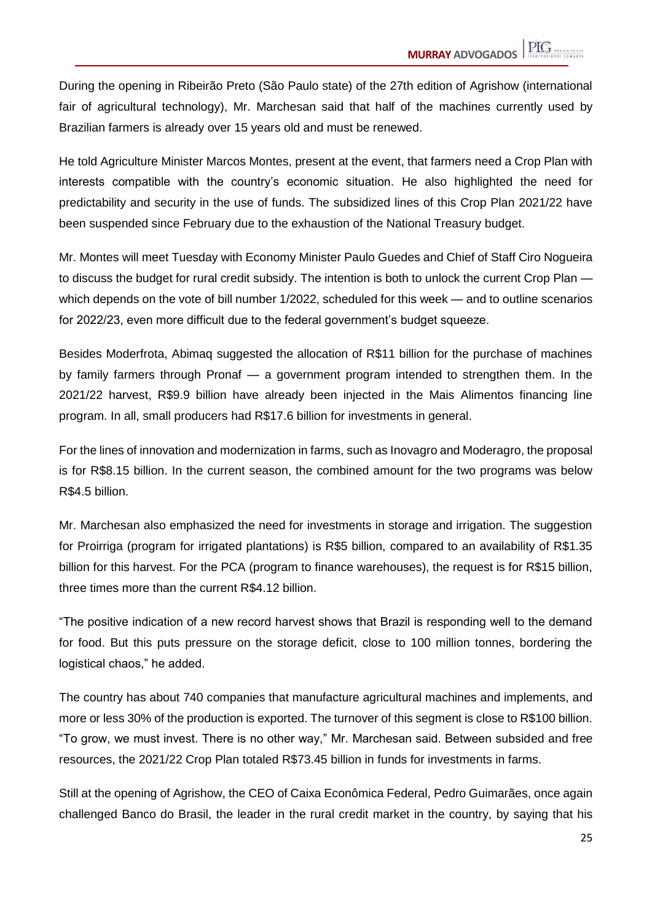During the opening in Ribeirão Preto (São Paulo state) of the 27th edition of Agrishow (international fair of agricultural technology), Mr. Marchesan said that half of the machines currently used by Brazilian farmers is already over 15 years old and must be renewed.

He told Agriculture Minister Marcos Montes, present at the event, that farmers need a Crop Plan with interests compatible with the country's economic situation. He also highlighted the need for predictability and security in the use of funds. The subsidized lines of this Crop Plan 2021/22 have been suspended since February due to the exhaustion of the National Treasury budget.

Mr. Montes will meet Tuesday with Economy Minister Paulo Guedes and Chief of Staff Ciro Nogueira to discuss the budget for rural credit subsidy. The intention is both to unlock the current Crop Plan which depends on the vote of bill number 1/2022, scheduled for this week — and to outline scenarios for 2022/23, even more difficult due to the federal government's budget squeeze.

Besides Moderfrota, Abimaq suggested the allocation of R\$11 billion for the purchase of machines by family farmers through Pronaf — a government program intended to strengthen them. In the 2021/22 harvest, R\$9.9 billion have already been injected in the Mais Alimentos financing line program. In all, small producers had R\$17.6 billion for investments in general.

For the lines of innovation and modernization in farms, such as Inovagro and Moderagro, the proposal is for R\$8.15 billion. In the current season, the combined amount for the two programs was below R\$4.5 billion.

Mr. Marchesan also emphasized the need for investments in storage and irrigation. The suggestion for Proirriga (program for irrigated plantations) is R\$5 billion, compared to an availability of R\$1.35 billion for this harvest. For the PCA (program to finance warehouses), the request is for R\$15 billion, three times more than the current R\$4.12 billion.

"The positive indication of a new record harvest shows that Brazil is responding well to the demand for food. But this puts pressure on the storage deficit, close to 100 million tonnes, bordering the logistical chaos," he added.

The country has about 740 companies that manufacture agricultural machines and implements, and more or less 30% of the production is exported. The turnover of this segment is close to R\$100 billion. "To grow, we must invest. There is no other way," Mr. Marchesan said. Between subsided and free resources, the 2021/22 Crop Plan totaled R\$73.45 billion in funds for investments in farms.

Still at the opening of Agrishow, the CEO of Caixa Econômica Federal, Pedro Guimarães, once again challenged Banco do Brasil, the leader in the rural credit market in the country, by saying that his